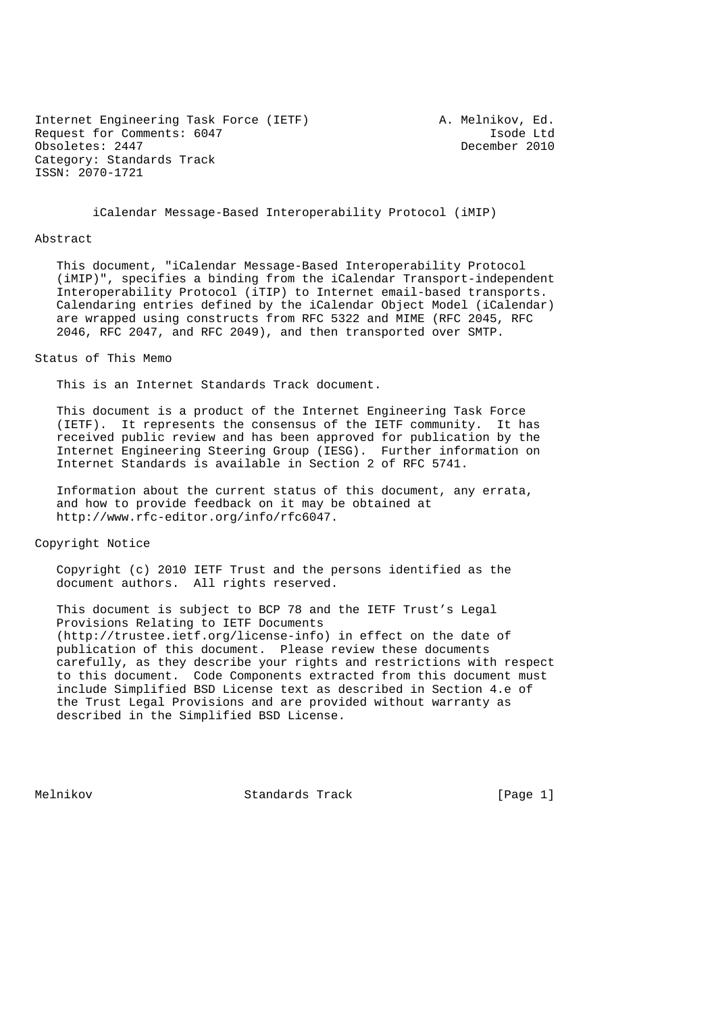Internet Engineering Task Force (IETF) A. Melnikov, Ed. Request for Comments: 6047 1sode Ltd<br>
0bsoletes: 2447 1999 December 2010 Obsoletes: 2447 Category: Standards Track ISSN: 2070-1721

iCalendar Message-Based Interoperability Protocol (iMIP)

#### Abstract

 This document, "iCalendar Message-Based Interoperability Protocol (iMIP)", specifies a binding from the iCalendar Transport-independent Interoperability Protocol (iTIP) to Internet email-based transports. Calendaring entries defined by the iCalendar Object Model (iCalendar) are wrapped using constructs from RFC 5322 and MIME (RFC 2045, RFC 2046, RFC 2047, and RFC 2049), and then transported over SMTP.

#### Status of This Memo

This is an Internet Standards Track document.

 This document is a product of the Internet Engineering Task Force (IETF). It represents the consensus of the IETF community. It has received public review and has been approved for publication by the Internet Engineering Steering Group (IESG). Further information on Internet Standards is available in Section 2 of RFC 5741.

 Information about the current status of this document, any errata, and how to provide feedback on it may be obtained at http://www.rfc-editor.org/info/rfc6047.

Copyright Notice

 Copyright (c) 2010 IETF Trust and the persons identified as the document authors. All rights reserved.

 This document is subject to BCP 78 and the IETF Trust's Legal Provisions Relating to IETF Documents (http://trustee.ietf.org/license-info) in effect on the date of publication of this document. Please review these documents carefully, as they describe your rights and restrictions with respect to this document. Code Components extracted from this document must include Simplified BSD License text as described in Section 4.e of the Trust Legal Provisions and are provided without warranty as described in the Simplified BSD License.

Melnikov Standards Track [Page 1]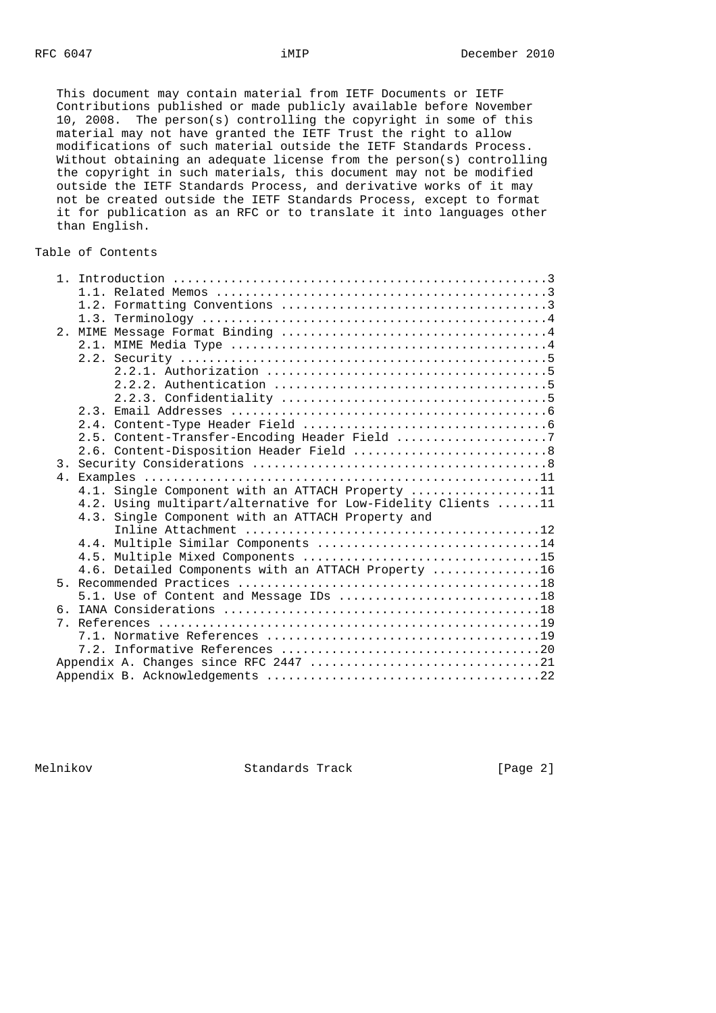This document may contain material from IETF Documents or IETF Contributions published or made publicly available before November 10, 2008. The person(s) controlling the copyright in some of this material may not have granted the IETF Trust the right to allow modifications of such material outside the IETF Standards Process. Without obtaining an adequate license from the person(s) controlling the copyright in such materials, this document may not be modified outside the IETF Standards Process, and derivative works of it may not be created outside the IETF Standards Process, except to format it for publication as an RFC or to translate it into languages other than English.

# Table of Contents

|  | 2.5. Content-Transfer-Encoding Header Field 7                |
|--|--------------------------------------------------------------|
|  |                                                              |
|  |                                                              |
|  |                                                              |
|  | 4.1. Single Component with an ATTACH Property 11             |
|  | 4.2. Using multipart/alternative for Low-Fidelity Clients 11 |
|  | 4.3. Single Component with an ATTACH Property and            |
|  |                                                              |
|  | 4.4. Multiple Similar Components 14                          |
|  |                                                              |
|  | 4.6. Detailed Components with an ATTACH Property 16          |
|  |                                                              |
|  | 5.1. Use of Content and Message IDs 18                       |
|  |                                                              |
|  |                                                              |
|  |                                                              |
|  |                                                              |
|  |                                                              |
|  |                                                              |

Melnikov Standards Track [Page 2]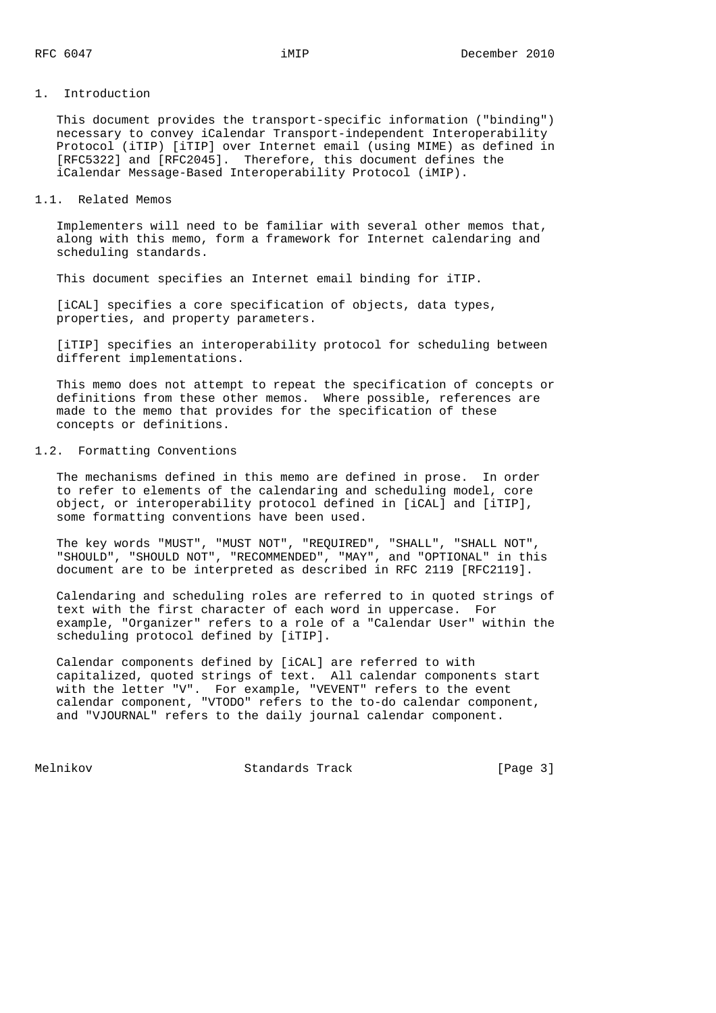#### 1. Introduction

 This document provides the transport-specific information ("binding") necessary to convey iCalendar Transport-independent Interoperability Protocol (iTIP) [iTIP] over Internet email (using MIME) as defined in [RFC5322] and [RFC2045]. Therefore, this document defines the iCalendar Message-Based Interoperability Protocol (iMIP).

#### 1.1. Related Memos

 Implementers will need to be familiar with several other memos that, along with this memo, form a framework for Internet calendaring and scheduling standards.

This document specifies an Internet email binding for iTIP.

 [iCAL] specifies a core specification of objects, data types, properties, and property parameters.

 [iTIP] specifies an interoperability protocol for scheduling between different implementations.

 This memo does not attempt to repeat the specification of concepts or definitions from these other memos. Where possible, references are made to the memo that provides for the specification of these concepts or definitions.

#### 1.2. Formatting Conventions

 The mechanisms defined in this memo are defined in prose. In order to refer to elements of the calendaring and scheduling model, core object, or interoperability protocol defined in [iCAL] and [iTIP], some formatting conventions have been used.

 The key words "MUST", "MUST NOT", "REQUIRED", "SHALL", "SHALL NOT", "SHOULD", "SHOULD NOT", "RECOMMENDED", "MAY", and "OPTIONAL" in this document are to be interpreted as described in RFC 2119 [RFC2119].

 Calendaring and scheduling roles are referred to in quoted strings of text with the first character of each word in uppercase. For example, "Organizer" refers to a role of a "Calendar User" within the scheduling protocol defined by [iTIP].

 Calendar components defined by [iCAL] are referred to with capitalized, quoted strings of text. All calendar components start with the letter "V". For example, "VEVENT" refers to the event calendar component, "VTODO" refers to the to-do calendar component, and "VJOURNAL" refers to the daily journal calendar component.

Melnikov Standards Track [Page 3]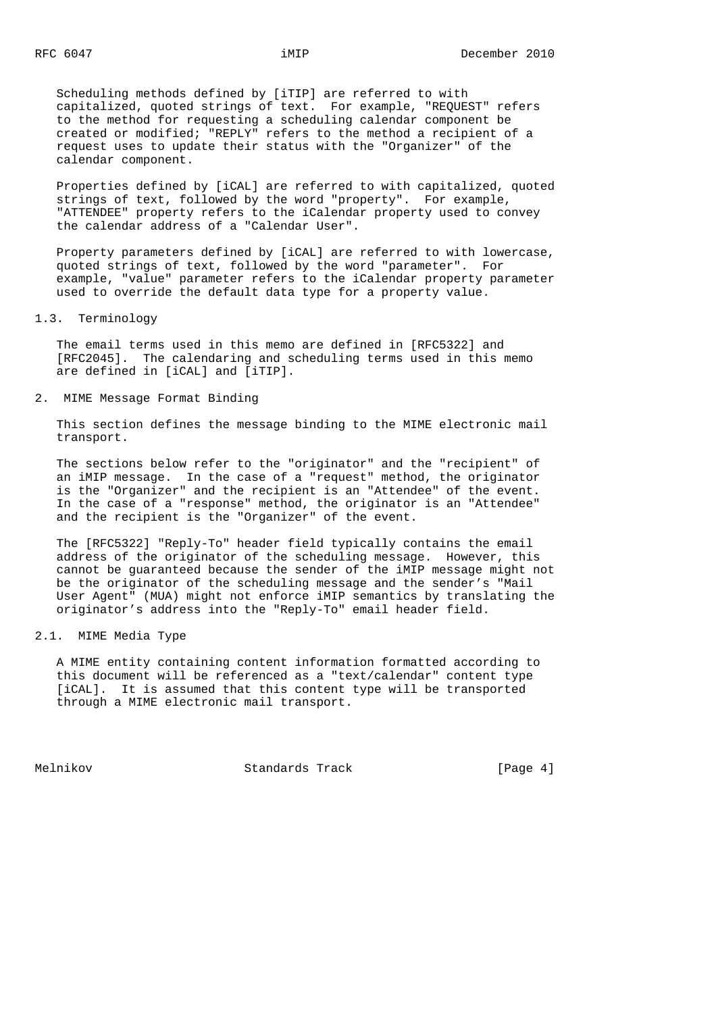Scheduling methods defined by [iTIP] are referred to with capitalized, quoted strings of text. For example, "REQUEST" refers to the method for requesting a scheduling calendar component be created or modified; "REPLY" refers to the method a recipient of a request uses to update their status with the "Organizer" of the calendar component.

 Properties defined by [iCAL] are referred to with capitalized, quoted strings of text, followed by the word "property". For example, "ATTENDEE" property refers to the iCalendar property used to convey the calendar address of a "Calendar User".

 Property parameters defined by [iCAL] are referred to with lowercase, quoted strings of text, followed by the word "parameter". For example, "value" parameter refers to the iCalendar property parameter used to override the default data type for a property value.

#### 1.3. Terminology

 The email terms used in this memo are defined in [RFC5322] and [RFC2045]. The calendaring and scheduling terms used in this memo are defined in [iCAL] and [iTIP].

#### 2. MIME Message Format Binding

 This section defines the message binding to the MIME electronic mail transport.

 The sections below refer to the "originator" and the "recipient" of an iMIP message. In the case of a "request" method, the originator is the "Organizer" and the recipient is an "Attendee" of the event. In the case of a "response" method, the originator is an "Attendee" and the recipient is the "Organizer" of the event.

 The [RFC5322] "Reply-To" header field typically contains the email address of the originator of the scheduling message. However, this cannot be guaranteed because the sender of the iMIP message might not be the originator of the scheduling message and the sender's "Mail User Agent" (MUA) might not enforce iMIP semantics by translating the originator's address into the "Reply-To" email header field.

### 2.1. MIME Media Type

 A MIME entity containing content information formatted according to this document will be referenced as a "text/calendar" content type [iCAL]. It is assumed that this content type will be transported through a MIME electronic mail transport.

Melnikov Standards Track [Page 4]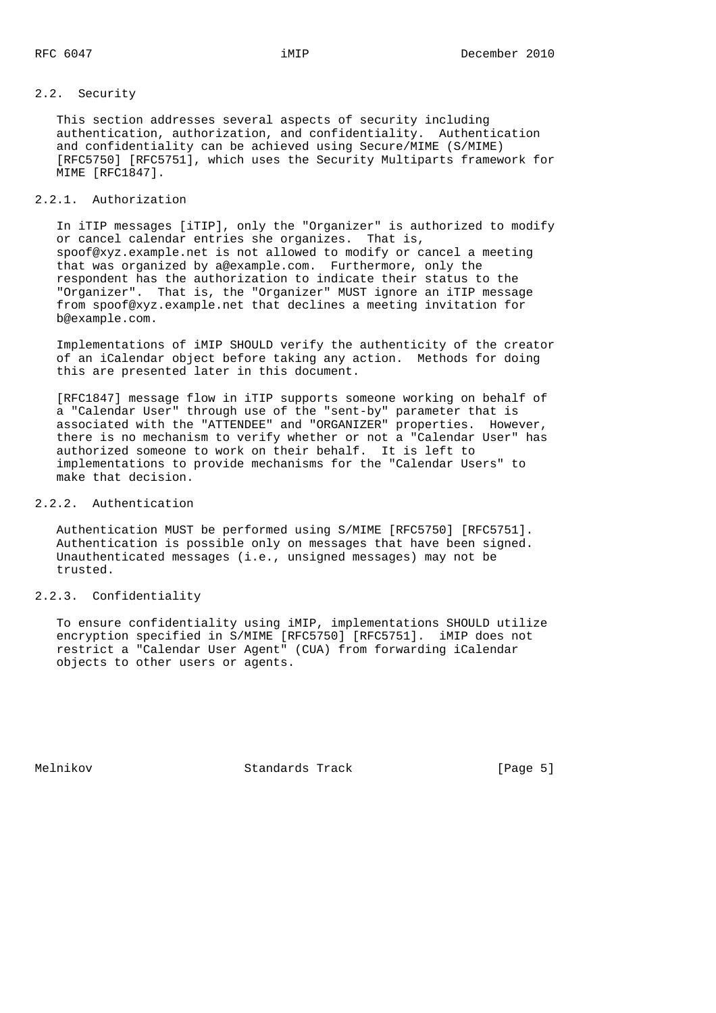# 2.2. Security

 This section addresses several aspects of security including authentication, authorization, and confidentiality. Authentication and confidentiality can be achieved using Secure/MIME (S/MIME) [RFC5750] [RFC5751], which uses the Security Multiparts framework for MIME [RFC1847].

### 2.2.1. Authorization

 In iTIP messages [iTIP], only the "Organizer" is authorized to modify or cancel calendar entries she organizes. That is, spoof@xyz.example.net is not allowed to modify or cancel a meeting that was organized by a@example.com. Furthermore, only the respondent has the authorization to indicate their status to the "Organizer". That is, the "Organizer" MUST ignore an iTIP message from spoof@xyz.example.net that declines a meeting invitation for b@example.com.

 Implementations of iMIP SHOULD verify the authenticity of the creator of an iCalendar object before taking any action. Methods for doing this are presented later in this document.

 [RFC1847] message flow in iTIP supports someone working on behalf of a "Calendar User" through use of the "sent-by" parameter that is associated with the "ATTENDEE" and "ORGANIZER" properties. However, there is no mechanism to verify whether or not a "Calendar User" has authorized someone to work on their behalf. It is left to implementations to provide mechanisms for the "Calendar Users" to make that decision.

#### 2.2.2. Authentication

 Authentication MUST be performed using S/MIME [RFC5750] [RFC5751]. Authentication is possible only on messages that have been signed. Unauthenticated messages (i.e., unsigned messages) may not be trusted.

### 2.2.3. Confidentiality

 To ensure confidentiality using iMIP, implementations SHOULD utilize encryption specified in S/MIME [RFC5750] [RFC5751]. iMIP does not restrict a "Calendar User Agent" (CUA) from forwarding iCalendar objects to other users or agents.

Melnikov Standards Track [Page 5]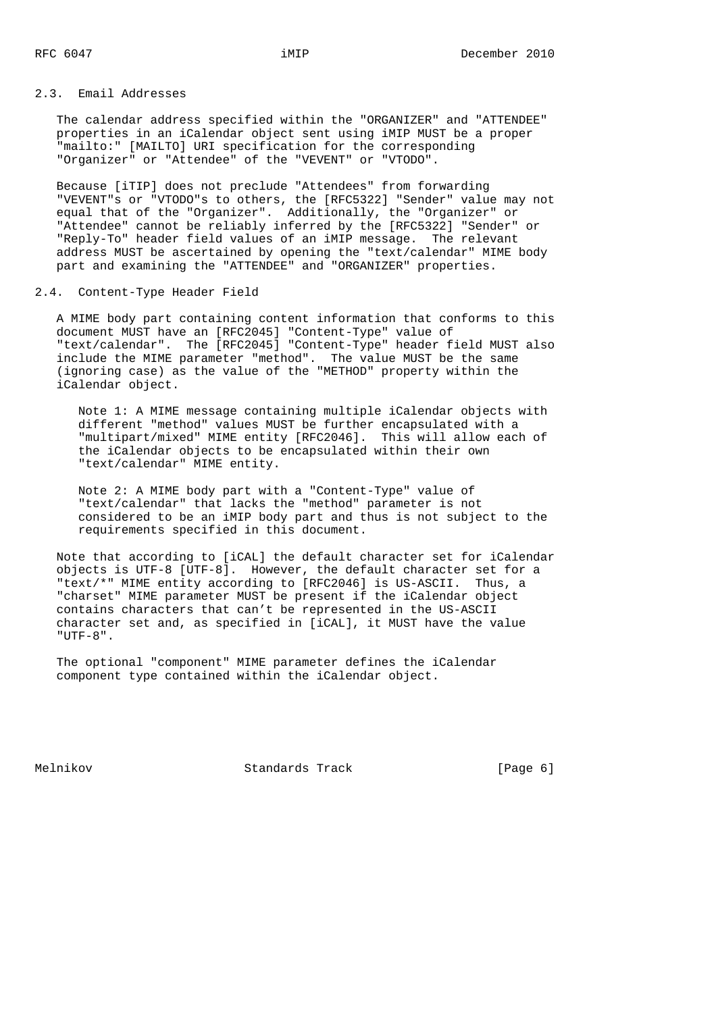### 2.3. Email Addresses

 The calendar address specified within the "ORGANIZER" and "ATTENDEE" properties in an iCalendar object sent using iMIP MUST be a proper "mailto:" [MAILTO] URI specification for the corresponding "Organizer" or "Attendee" of the "VEVENT" or "VTODO".

 Because [iTIP] does not preclude "Attendees" from forwarding "VEVENT"s or "VTODO"s to others, the [RFC5322] "Sender" value may not equal that of the "Organizer". Additionally, the "Organizer" or "Attendee" cannot be reliably inferred by the [RFC5322] "Sender" or "Reply-To" header field values of an iMIP message. The relevant address MUST be ascertained by opening the "text/calendar" MIME body part and examining the "ATTENDEE" and "ORGANIZER" properties.

#### 2.4. Content-Type Header Field

 A MIME body part containing content information that conforms to this document MUST have an [RFC2045] "Content-Type" value of "text/calendar". The [RFC2045] "Content-Type" header field MUST also include the MIME parameter "method". The value MUST be the same (ignoring case) as the value of the "METHOD" property within the iCalendar object.

 Note 1: A MIME message containing multiple iCalendar objects with different "method" values MUST be further encapsulated with a "multipart/mixed" MIME entity [RFC2046]. This will allow each of the iCalendar objects to be encapsulated within their own "text/calendar" MIME entity.

 Note 2: A MIME body part with a "Content-Type" value of "text/calendar" that lacks the "method" parameter is not considered to be an iMIP body part and thus is not subject to the requirements specified in this document.

 Note that according to [iCAL] the default character set for iCalendar objects is UTF-8 [UTF-8]. However, the default character set for a "text/\*" MIME entity according to [RFC2046] is US-ASCII. Thus, a "charset" MIME parameter MUST be present if the iCalendar object contains characters that can't be represented in the US-ASCII character set and, as specified in [iCAL], it MUST have the value "UTF-8".

 The optional "component" MIME parameter defines the iCalendar component type contained within the iCalendar object.

Melnikov Standards Track [Page 6]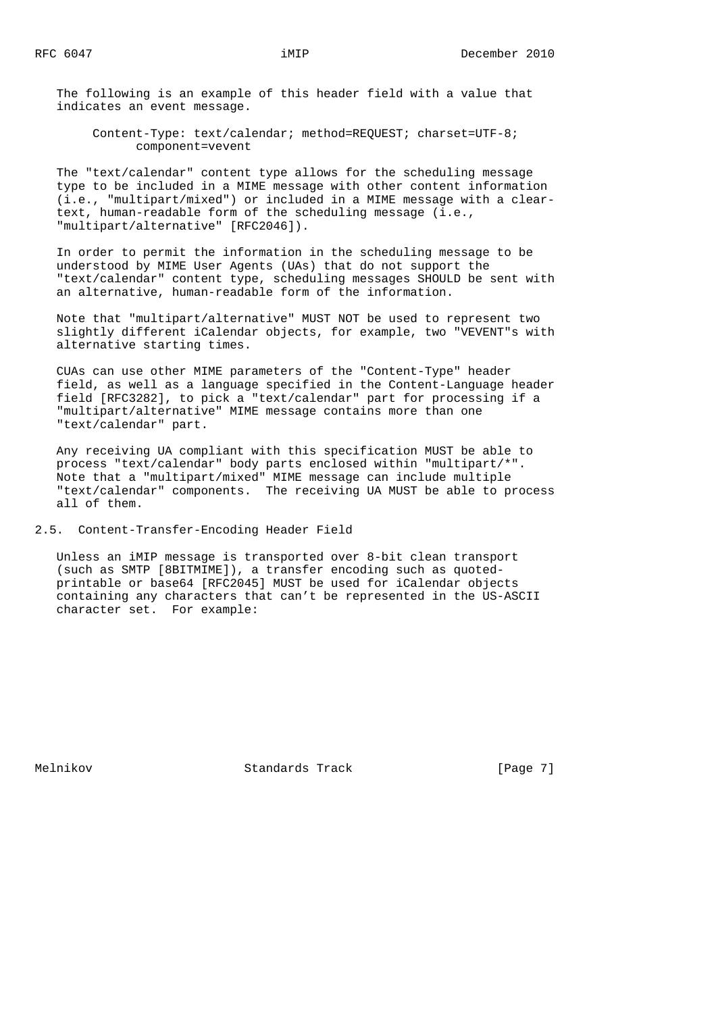The following is an example of this header field with a value that indicates an event message.

 Content-Type: text/calendar; method=REQUEST; charset=UTF-8; component=vevent

 The "text/calendar" content type allows for the scheduling message type to be included in a MIME message with other content information (i.e., "multipart/mixed") or included in a MIME message with a clear text, human-readable form of the scheduling message (i.e., "multipart/alternative" [RFC2046]).

 In order to permit the information in the scheduling message to be understood by MIME User Agents (UAs) that do not support the "text/calendar" content type, scheduling messages SHOULD be sent with an alternative, human-readable form of the information.

 Note that "multipart/alternative" MUST NOT be used to represent two slightly different iCalendar objects, for example, two "VEVENT"s with alternative starting times.

 CUAs can use other MIME parameters of the "Content-Type" header field, as well as a language specified in the Content-Language header field [RFC3282], to pick a "text/calendar" part for processing if a "multipart/alternative" MIME message contains more than one "text/calendar" part.

 Any receiving UA compliant with this specification MUST be able to process "text/calendar" body parts enclosed within "multipart/\*". Note that a "multipart/mixed" MIME message can include multiple "text/calendar" components. The receiving UA MUST be able to process all of them.

2.5. Content-Transfer-Encoding Header Field

 Unless an iMIP message is transported over 8-bit clean transport (such as SMTP [8BITMIME]), a transfer encoding such as quoted printable or base64 [RFC2045] MUST be used for iCalendar objects containing any characters that can't be represented in the US-ASCII character set. For example:

Melnikov Standards Track [Page 7]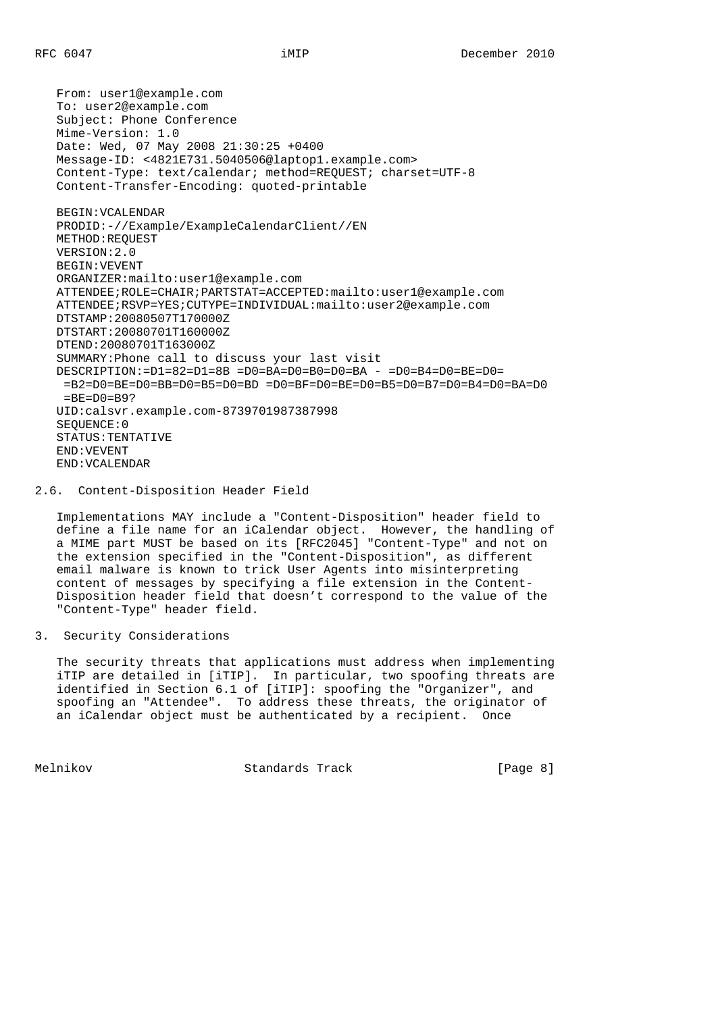From: user1@example.com To: user2@example.com Subject: Phone Conference Mime-Version: 1.0 Date: Wed, 07 May 2008 21:30:25 +0400 Message-ID: <4821E731.5040506@laptop1.example.com> Content-Type: text/calendar; method=REQUEST; charset=UTF-8 Content-Transfer-Encoding: quoted-printable BEGIN:VCALENDAR PRODID:-//Example/ExampleCalendarClient//EN METHOD:REQUEST VERSION:2.0 BEGIN:VEVENT ORGANIZER:mailto:user1@example.com ATTENDEE;ROLE=CHAIR;PARTSTAT=ACCEPTED:mailto:user1@example.com ATTENDEE;RSVP=YES;CUTYPE=INDIVIDUAL:mailto:user2@example.com DTSTAMP:20080507T170000Z DTSTART:20080701T160000Z DTEND:20080701T163000Z SUMMARY:Phone call to discuss your last visit DESCRIPTION:=D1=82=D1=8B =D0=BA=D0=B0=D0=BA - =D0=B4=D0=BE=D0=  $=$ B2=D0=BE=D0=BB=D0=B5=D0=BD =D0=BF=D0=BE=D0=B5=D0=B7=D0=B4=D0=BA=D0  $=BE=DO=B9?$  UID:calsvr.example.com-8739701987387998 SEQUENCE:0 STATUS:TENTATIVE END:VEVENT END:VCALENDAR

### 2.6. Content-Disposition Header Field

 Implementations MAY include a "Content-Disposition" header field to define a file name for an iCalendar object. However, the handling of a MIME part MUST be based on its [RFC2045] "Content-Type" and not on the extension specified in the "Content-Disposition", as different email malware is known to trick User Agents into misinterpreting content of messages by specifying a file extension in the Content- Disposition header field that doesn't correspond to the value of the "Content-Type" header field.

# 3. Security Considerations

 The security threats that applications must address when implementing iTIP are detailed in [iTIP]. In particular, two spoofing threats are identified in Section 6.1 of [iTIP]: spoofing the "Organizer", and spoofing an "Attendee". To address these threats, the originator of an iCalendar object must be authenticated by a recipient. Once

Melnikov Standards Track [Page 8]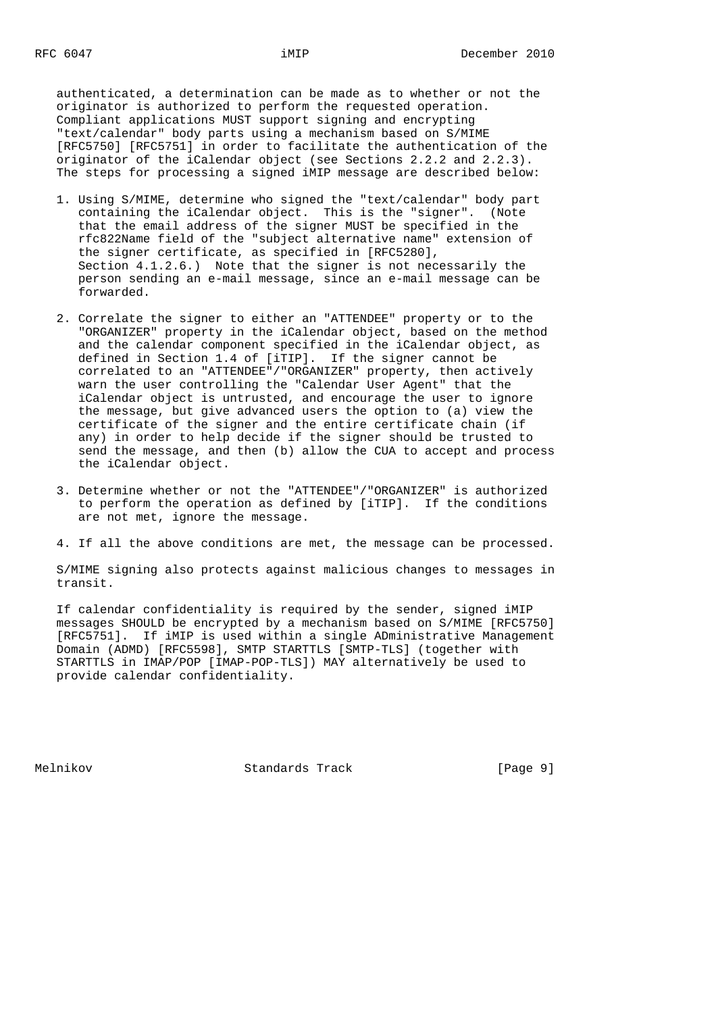authenticated, a determination can be made as to whether or not the originator is authorized to perform the requested operation. Compliant applications MUST support signing and encrypting "text/calendar" body parts using a mechanism based on S/MIME [RFC5750] [RFC5751] in order to facilitate the authentication of the originator of the iCalendar object (see Sections 2.2.2 and 2.2.3). The steps for processing a signed iMIP message are described below:

- 1. Using S/MIME, determine who signed the "text/calendar" body part containing the iCalendar object. This is the "signer". (Note that the email address of the signer MUST be specified in the rfc822Name field of the "subject alternative name" extension of the signer certificate, as specified in [RFC5280], Section 4.1.2.6.) Note that the signer is not necessarily the person sending an e-mail message, since an e-mail message can be forwarded.
- 2. Correlate the signer to either an "ATTENDEE" property or to the "ORGANIZER" property in the iCalendar object, based on the method and the calendar component specified in the iCalendar object, as defined in Section 1.4 of [iTIP]. If the signer cannot be correlated to an "ATTENDEE"/"ORGANIZER" property, then actively warn the user controlling the "Calendar User Agent" that the iCalendar object is untrusted, and encourage the user to ignore the message, but give advanced users the option to (a) view the certificate of the signer and the entire certificate chain (if any) in order to help decide if the signer should be trusted to send the message, and then (b) allow the CUA to accept and process the iCalendar object.
	- 3. Determine whether or not the "ATTENDEE"/"ORGANIZER" is authorized to perform the operation as defined by [iTIP]. If the conditions are not met, ignore the message.
	- 4. If all the above conditions are met, the message can be processed.

 S/MIME signing also protects against malicious changes to messages in transit.

 If calendar confidentiality is required by the sender, signed iMIP messages SHOULD be encrypted by a mechanism based on S/MIME [RFC5750] [RFC5751]. If iMIP is used within a single ADministrative Management Domain (ADMD) [RFC5598], SMTP STARTTLS [SMTP-TLS] (together with STARTTLS in IMAP/POP [IMAP-POP-TLS]) MAY alternatively be used to provide calendar confidentiality.

Melnikov Standards Track [Page 9]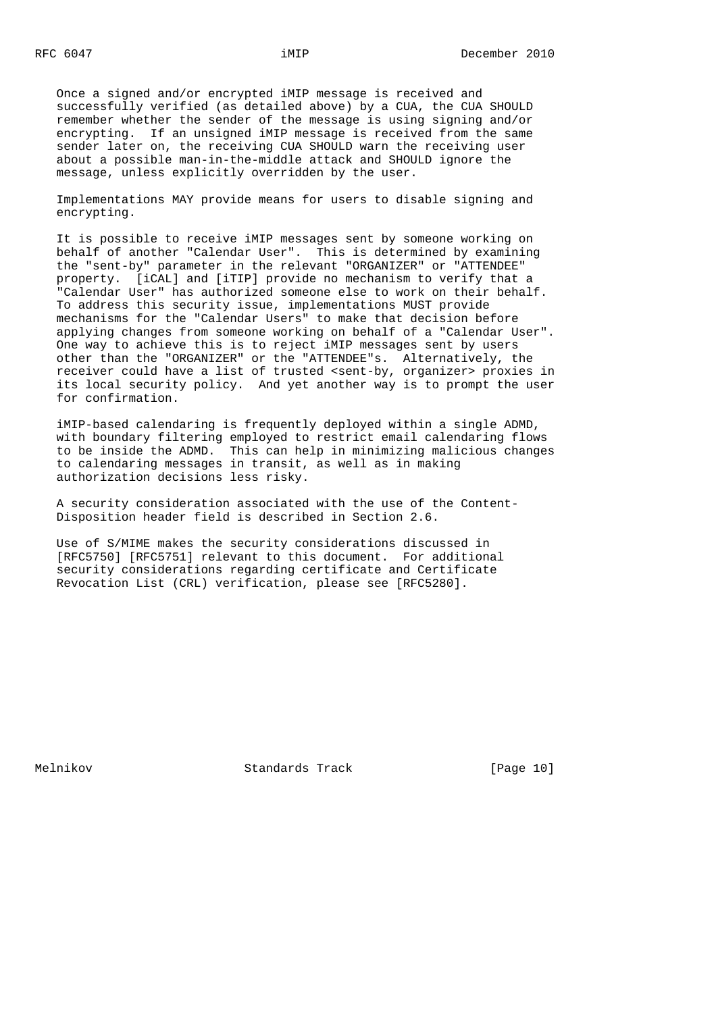Once a signed and/or encrypted iMIP message is received and successfully verified (as detailed above) by a CUA, the CUA SHOULD remember whether the sender of the message is using signing and/or encrypting. If an unsigned iMIP message is received from the same sender later on, the receiving CUA SHOULD warn the receiving user about a possible man-in-the-middle attack and SHOULD ignore the message, unless explicitly overridden by the user.

 Implementations MAY provide means for users to disable signing and encrypting.

 It is possible to receive iMIP messages sent by someone working on behalf of another "Calendar User". This is determined by examining the "sent-by" parameter in the relevant "ORGANIZER" or "ATTENDEE" property. [iCAL] and [iTIP] provide no mechanism to verify that a "Calendar User" has authorized someone else to work on their behalf. To address this security issue, implementations MUST provide mechanisms for the "Calendar Users" to make that decision before applying changes from someone working on behalf of a "Calendar User". One way to achieve this is to reject iMIP messages sent by users other than the "ORGANIZER" or the "ATTENDEE"s. Alternatively, the receiver could have a list of trusted <sent-by, organizer> proxies in its local security policy. And yet another way is to prompt the user for confirmation.

 iMIP-based calendaring is frequently deployed within a single ADMD, with boundary filtering employed to restrict email calendaring flows to be inside the ADMD. This can help in minimizing malicious changes to calendaring messages in transit, as well as in making authorization decisions less risky.

 A security consideration associated with the use of the Content- Disposition header field is described in Section 2.6.

 Use of S/MIME makes the security considerations discussed in [RFC5750] [RFC5751] relevant to this document. For additional security considerations regarding certificate and Certificate Revocation List (CRL) verification, please see [RFC5280].

Melnikov Standards Track [Page 10]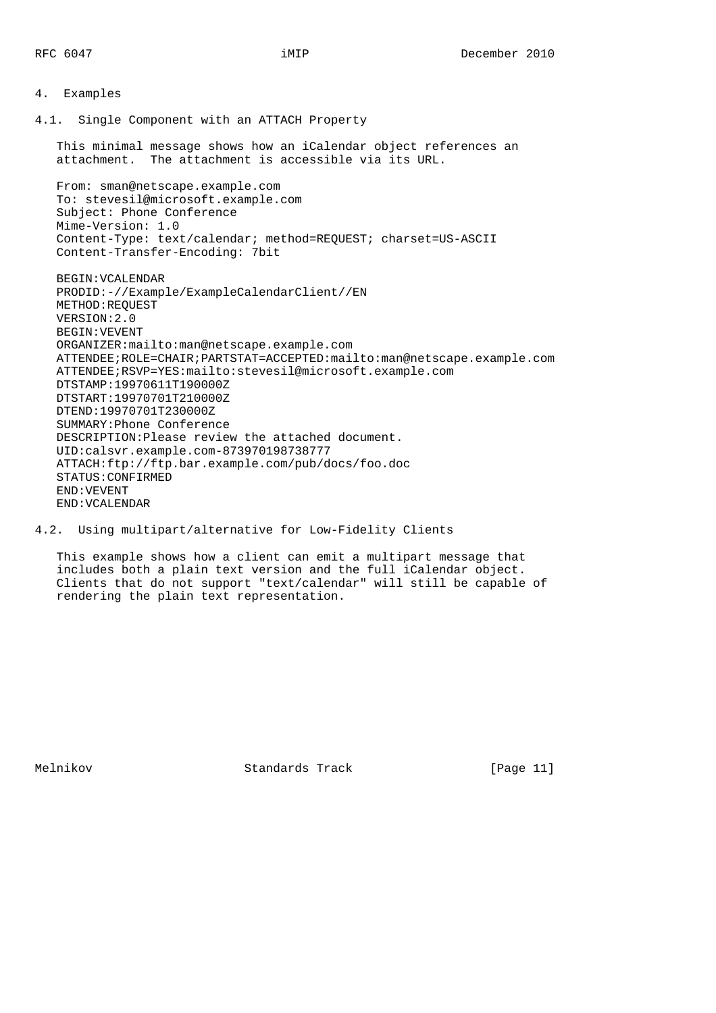# 4. Examples

4.1. Single Component with an ATTACH Property

 This minimal message shows how an iCalendar object references an attachment. The attachment is accessible via its URL.

From: sman@netscape.example.com To: stevesil@microsoft.example.com Subject: Phone Conference Mime-Version: 1.0 Content-Type: text/calendar; method=REQUEST; charset=US-ASCII Content-Transfer-Encoding: 7bit

 BEGIN:VCALENDAR PRODID:-//Example/ExampleCalendarClient//EN METHOD:REQUEST VERSION:2.0 BEGIN:VEVENT ORGANIZER:mailto:man@netscape.example.com ATTENDEE;ROLE=CHAIR;PARTSTAT=ACCEPTED:mailto:man@netscape.example.com ATTENDEE;RSVP=YES:mailto:stevesil@microsoft.example.com DTSTAMP:19970611T190000Z DTSTART:19970701T210000Z DTEND:19970701T230000Z SUMMARY:Phone Conference DESCRIPTION:Please review the attached document. UID:calsvr.example.com-873970198738777 ATTACH:ftp://ftp.bar.example.com/pub/docs/foo.doc STATUS:CONFIRMED END:VEVENT END:VCALENDAR

4.2. Using multipart/alternative for Low-Fidelity Clients

 This example shows how a client can emit a multipart message that includes both a plain text version and the full iCalendar object. Clients that do not support "text/calendar" will still be capable of rendering the plain text representation.

Melnikov Standards Track [Page 11]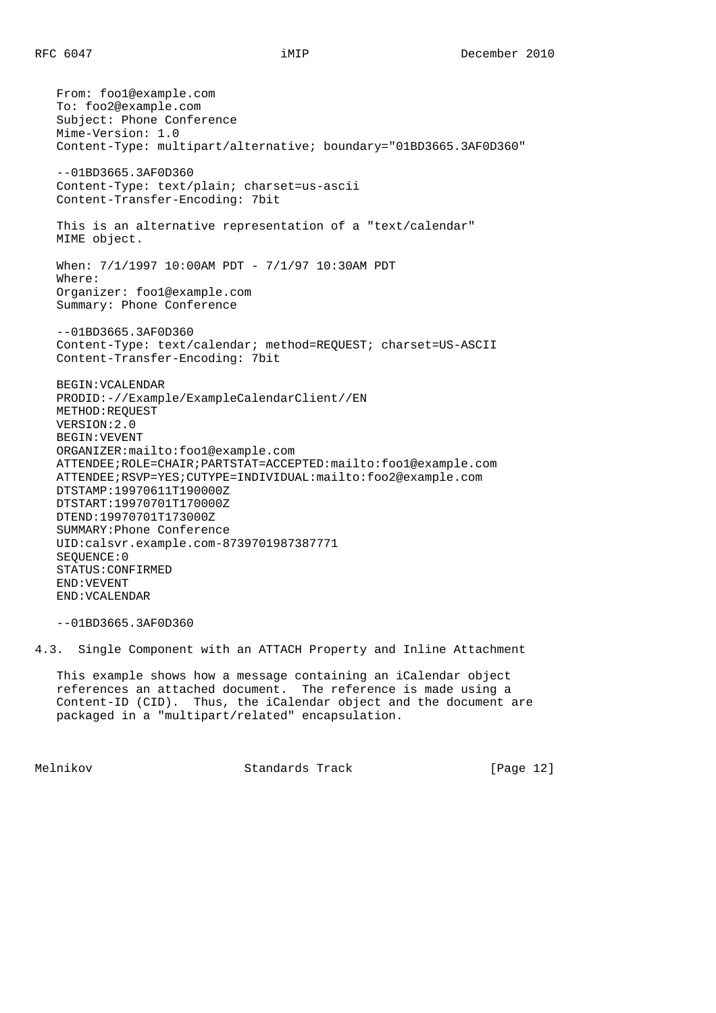From: foo1@example.com To: foo2@example.com Subject: Phone Conference Mime-Version: 1.0 Content-Type: multipart/alternative; boundary="01BD3665.3AF0D360" --01BD3665.3AF0D360 Content-Type: text/plain; charset=us-ascii Content-Transfer-Encoding: 7bit This is an alternative representation of a "text/calendar" MIME object. When: 7/1/1997 10:00AM PDT - 7/1/97 10:30AM PDT Where: Organizer: foo1@example.com Summary: Phone Conference --01BD3665.3AF0D360 Content-Type: text/calendar; method=REQUEST; charset=US-ASCII Content-Transfer-Encoding: 7bit BEGIN:VCALENDAR PRODID:-//Example/ExampleCalendarClient//EN METHOD:REQUEST VERSION:2.0 BEGIN:VEVENT ORGANIZER:mailto:foo1@example.com ATTENDEE;ROLE=CHAIR;PARTSTAT=ACCEPTED:mailto:foo1@example.com ATTENDEE;RSVP=YES;CUTYPE=INDIVIDUAL:mailto:foo2@example.com DTSTAMP:19970611T190000Z DTSTART:19970701T170000Z DTEND:19970701T173000Z SUMMARY:Phone Conference UID:calsvr.example.com-8739701987387771 SEQUENCE:0 STATUS:CONFIRMED END:VEVENT END:VCALENDAR

--01BD3665.3AF0D360

4.3. Single Component with an ATTACH Property and Inline Attachment

 This example shows how a message containing an iCalendar object references an attached document. The reference is made using a Content-ID (CID). Thus, the iCalendar object and the document are packaged in a "multipart/related" encapsulation.

Melnikov Standards Track [Page 12]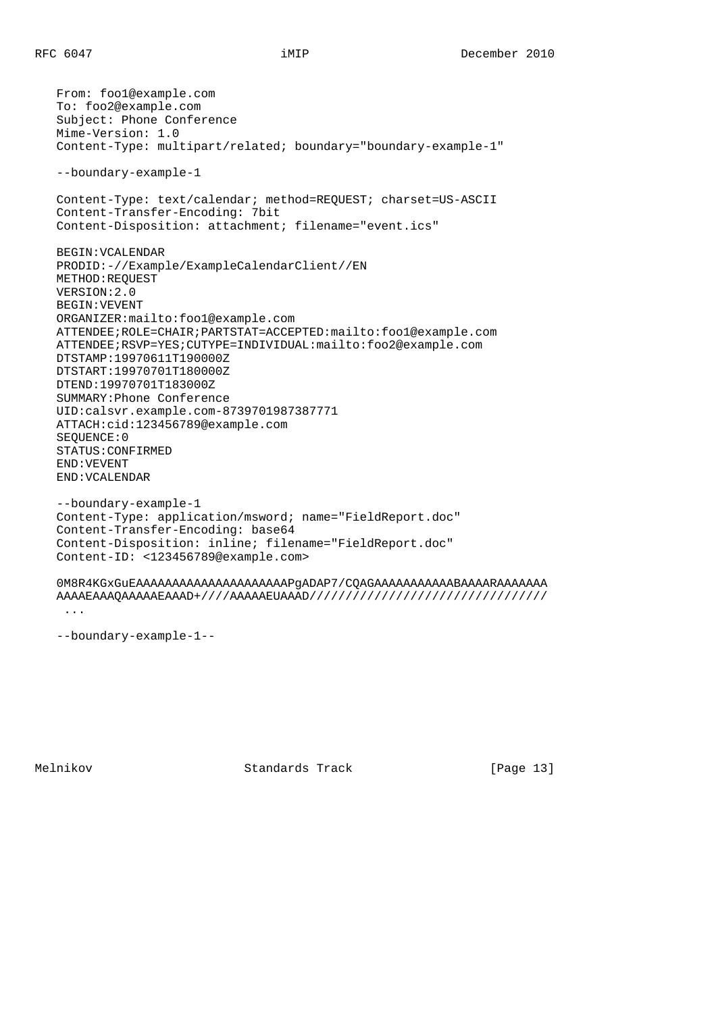From: foo1@example.com To: foo2@example.com Subject: Phone Conference Mime-Version: 1.0 Content-Type: multipart/related; boundary="boundary-example-1" --boundary-example-1 Content-Type: text/calendar; method=REQUEST; charset=US-ASCII Content-Transfer-Encoding: 7bit Content-Disposition: attachment; filename="event.ics" BEGIN:VCALENDAR PRODID:-//Example/ExampleCalendarClient//EN METHOD:REQUEST VERSION:2.0 BEGIN:VEVENT ORGANIZER:mailto:foo1@example.com ATTENDEE;ROLE=CHAIR;PARTSTAT=ACCEPTED:mailto:foo1@example.com ATTENDEE;RSVP=YES;CUTYPE=INDIVIDUAL:mailto:foo2@example.com DTSTAMP:19970611T190000Z DTSTART:19970701T180000Z DTEND:19970701T183000Z SUMMARY:Phone Conference UID:calsvr.example.com-8739701987387771 ATTACH:cid:123456789@example.com SEQUENCE:0 STATUS:CONFIRMED END:VEVENT END:VCALENDAR --boundary-example-1 Content-Type: application/msword; name="FieldReport.doc" Content-Transfer-Encoding: base64 Content-Disposition: inline; filename="FieldReport.doc" Content-ID: <123456789@example.com> 0M8R4KGxGuEAAAAAAAAAAAAAAAAAAAAAPgADAP7/CQAGAAAAAAAAAAABAAAARAAAAAAA AAAAEAAAQAAAAAEAAAD+////AAAAAEUAAAD/////////////////////////////////

...

--boundary-example-1--

Melnikov Standards Track [Page 13]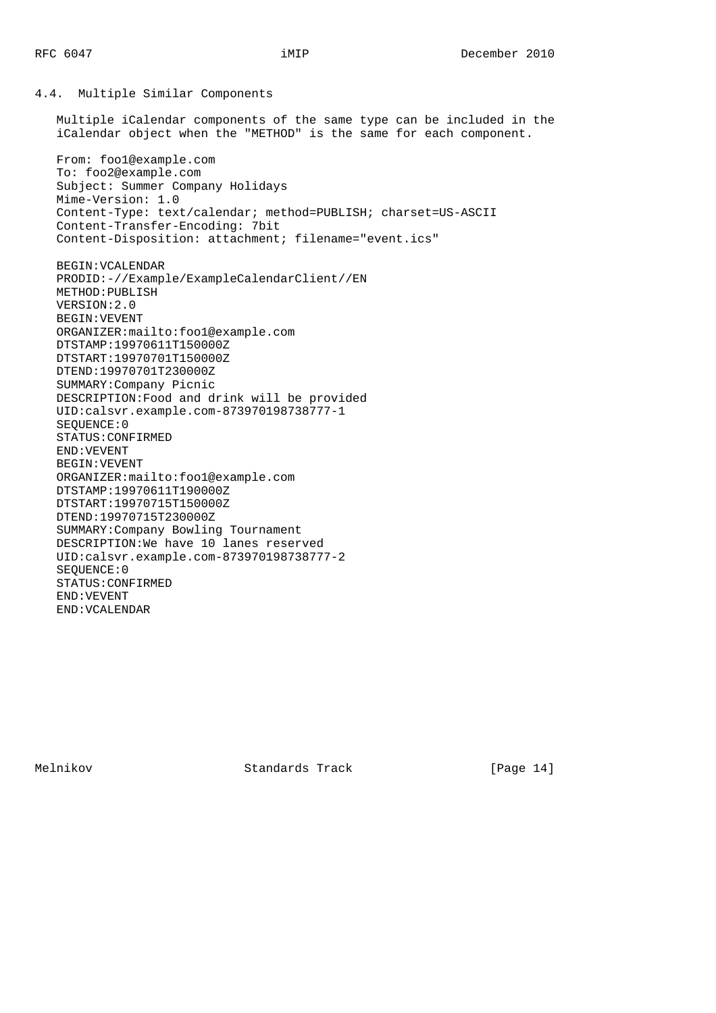4.4. Multiple Similar Components Multiple iCalendar components of the same type can be included in the iCalendar object when the "METHOD" is the same for each component. From: foo1@example.com To: foo2@example.com Subject: Summer Company Holidays Mime-Version: 1.0 Content-Type: text/calendar; method=PUBLISH; charset=US-ASCII Content-Transfer-Encoding: 7bit Content-Disposition: attachment; filename="event.ics" BEGIN:VCALENDAR PRODID:-//Example/ExampleCalendarClient//EN METHOD:PUBLISH VERSION:2.0 BEGIN:VEVENT ORGANIZER:mailto:foo1@example.com DTSTAMP:19970611T150000Z DTSTART:19970701T150000Z DTEND:19970701T230000Z SUMMARY:Company Picnic DESCRIPTION:Food and drink will be provided UID:calsvr.example.com-873970198738777-1 SEQUENCE:0 STATUS:CONFIRMED END:VEVENT BEGIN:VEVENT ORGANIZER:mailto:foo1@example.com DTSTAMP:19970611T190000Z DTSTART:19970715T150000Z DTEND:19970715T230000Z SUMMARY:Company Bowling Tournament DESCRIPTION:We have 10 lanes reserved UID:calsvr.example.com-873970198738777-2 SEQUENCE:0 STATUS:CONFIRMED END:VEVENT END:VCALENDAR

Melnikov Standards Track [Page 14]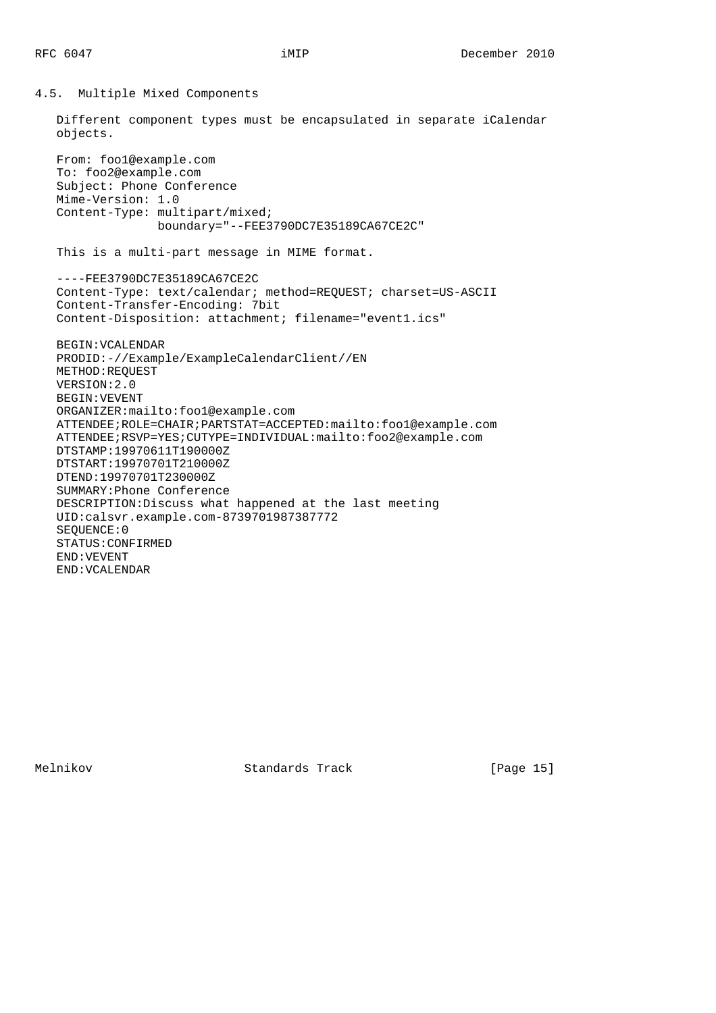4.5. Multiple Mixed Components Different component types must be encapsulated in separate iCalendar objects. From: foo1@example.com To: foo2@example.com Subject: Phone Conference Mime-Version: 1.0 Content-Type: multipart/mixed; boundary="--FEE3790DC7E35189CA67CE2C" This is a multi-part message in MIME format. ----FEE3790DC7E35189CA67CE2C Content-Type: text/calendar; method=REQUEST; charset=US-ASCII Content-Transfer-Encoding: 7bit Content-Disposition: attachment; filename="event1.ics" BEGIN:VCALENDAR PRODID:-//Example/ExampleCalendarClient//EN METHOD:REQUEST VERSION:2.0 BEGIN:VEVENT ORGANIZER:mailto:foo1@example.com ATTENDEE;ROLE=CHAIR;PARTSTAT=ACCEPTED:mailto:foo1@example.com ATTENDEE;RSVP=YES;CUTYPE=INDIVIDUAL:mailto:foo2@example.com DTSTAMP:19970611T190000Z DTSTART:19970701T210000Z DTEND:19970701T230000Z SUMMARY:Phone Conference DESCRIPTION:Discuss what happened at the last meeting UID:calsvr.example.com-8739701987387772 SEQUENCE:0 STATUS:CONFIRMED END:VEVENT END:VCALENDAR

Melnikov Standards Track [Page 15]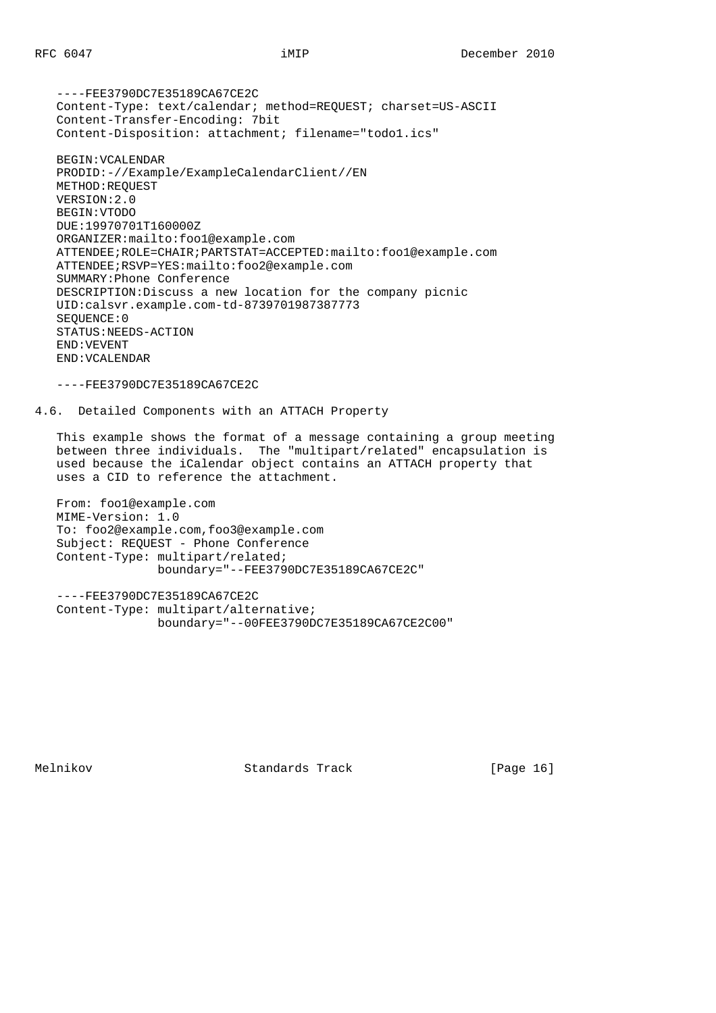----FEE3790DC7E35189CA67CE2C Content-Type: text/calendar; method=REQUEST; charset=US-ASCII Content-Transfer-Encoding: 7bit Content-Disposition: attachment; filename="todo1.ics" BEGIN:VCALENDAR

 PRODID:-//Example/ExampleCalendarClient//EN METHOD:REQUEST VERSION:2.0 BEGIN:VTODO DUE:19970701T160000Z ORGANIZER:mailto:foo1@example.com ATTENDEE;ROLE=CHAIR;PARTSTAT=ACCEPTED:mailto:foo1@example.com ATTENDEE;RSVP=YES:mailto:foo2@example.com SUMMARY:Phone Conference DESCRIPTION:Discuss a new location for the company picnic UID:calsvr.example.com-td-8739701987387773 SEQUENCE:0 STATUS:NEEDS-ACTION END:VEVENT END:VCALENDAR

----FEE3790DC7E35189CA67CE2C

4.6. Detailed Components with an ATTACH Property

 This example shows the format of a message containing a group meeting between three individuals. The "multipart/related" encapsulation is used because the iCalendar object contains an ATTACH property that uses a CID to reference the attachment.

```
 From: foo1@example.com
 MIME-Version: 1.0
 To: foo2@example.com,foo3@example.com
 Subject: REQUEST - Phone Conference
 Content-Type: multipart/related;
               boundary="--FEE3790DC7E35189CA67CE2C"
```

```
 ----FEE3790DC7E35189CA67CE2C
 Content-Type: multipart/alternative;
               boundary="--00FEE3790DC7E35189CA67CE2C00"
```
Melnikov Standards Track [Page 16]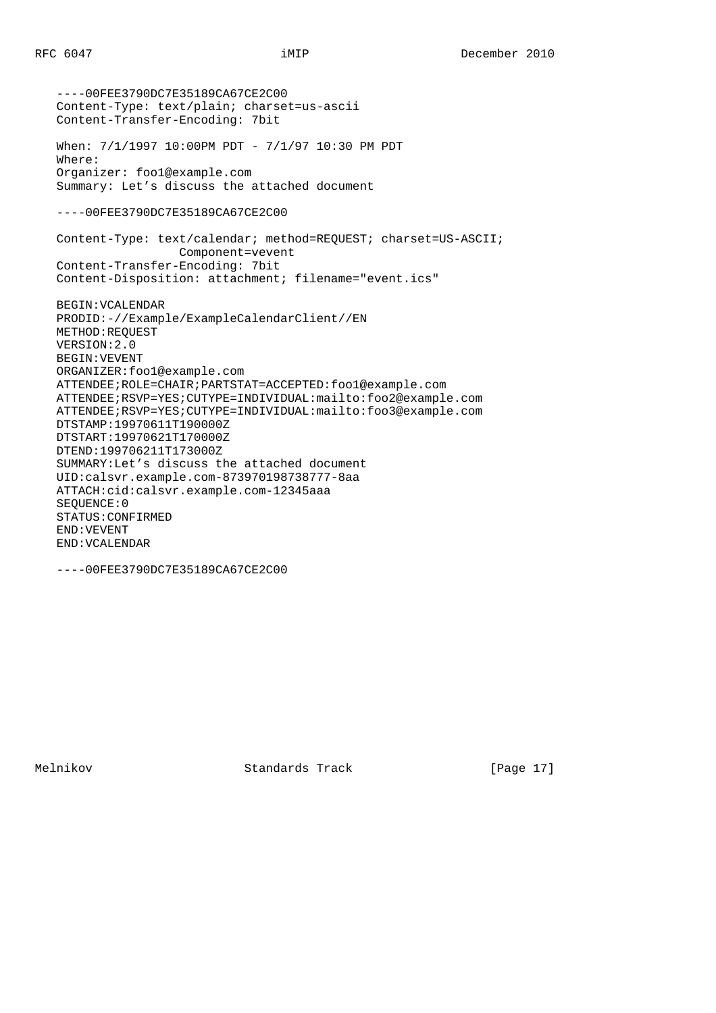----00FEE3790DC7E35189CA67CE2C00 Content-Type: text/plain; charset=us-ascii Content-Transfer-Encoding: 7bit When: 7/1/1997 10:00PM PDT - 7/1/97 10:30 PM PDT Where: Organizer: foo1@example.com Summary: Let's discuss the attached document ----00FEE3790DC7E35189CA67CE2C00 Content-Type: text/calendar; method=REQUEST; charset=US-ASCII; Component=vevent Content-Transfer-Encoding: 7bit Content-Disposition: attachment; filename="event.ics" BEGIN:VCALENDAR PRODID:-//Example/ExampleCalendarClient//EN METHOD:REQUEST VERSION:2.0 BEGIN:VEVENT ORGANIZER:foo1@example.com ATTENDEE;ROLE=CHAIR;PARTSTAT=ACCEPTED:foo1@example.com ATTENDEE;RSVP=YES;CUTYPE=INDIVIDUAL:mailto:foo2@example.com ATTENDEE;RSVP=YES;CUTYPE=INDIVIDUAL:mailto:foo3@example.com DTSTAMP:19970611T190000Z DTSTART:19970621T170000Z DTEND:199706211T173000Z SUMMARY:Let's discuss the attached document UID:calsvr.example.com-873970198738777-8aa ATTACH:cid:calsvr.example.com-12345aaa SEQUENCE:0 STATUS:CONFIRMED END:VEVENT END:VCALENDAR

----00FEE3790DC7E35189CA67CE2C00

Melnikov Standards Track [Page 17]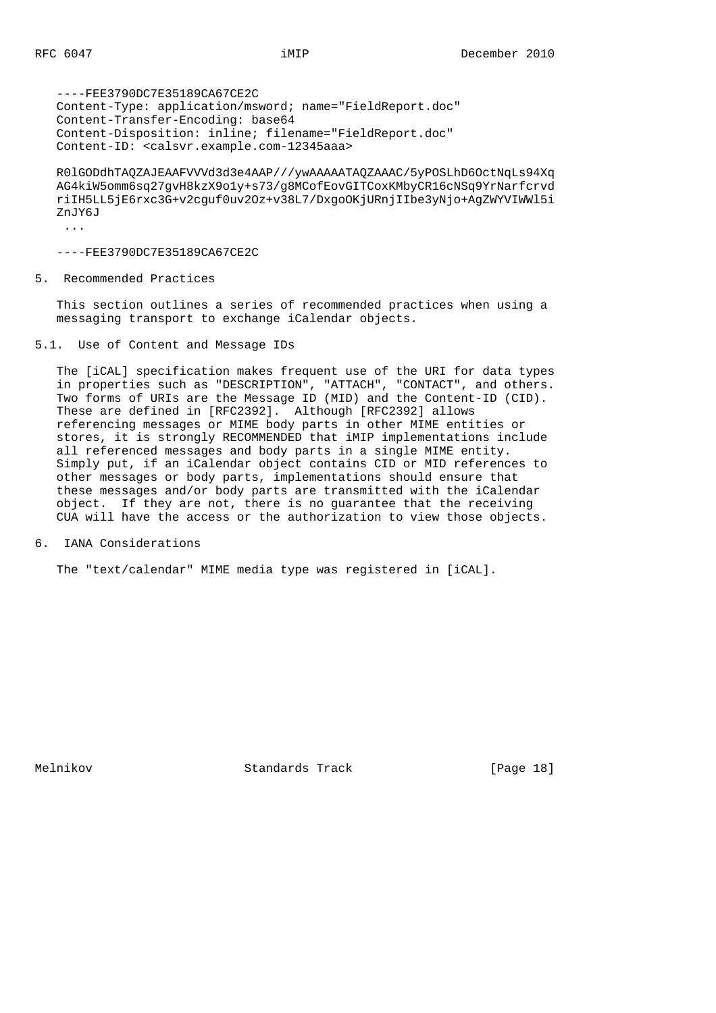----FEE3790DC7E35189CA67CE2C Content-Type: application/msword; name="FieldReport.doc" Content-Transfer-Encoding: base64 Content-Disposition: inline; filename="FieldReport.doc" Content-ID: <calsvr.example.com-12345aaa>

 R0lGODdhTAQZAJEAAFVVVd3d3e4AAP///ywAAAAATAQZAAAC/5yPOSLhD6OctNqLs94Xq AG4kiW5omm6sq27gvH8kzX9o1y+s73/g8MCofEovGITCoxKMbyCR16cNSq9YrNarfcrvd riIH5LL5jE6rxc3G+v2cguf0uv2Oz+v38L7/DxgoOKjURnjIIbe3yNjo+AgZWYVIWWl5i ZnJY6J

...

----FEE3790DC7E35189CA67CE2C

5. Recommended Practices

 This section outlines a series of recommended practices when using a messaging transport to exchange iCalendar objects.

5.1. Use of Content and Message IDs

 The [iCAL] specification makes frequent use of the URI for data types in properties such as "DESCRIPTION", "ATTACH", "CONTACT", and others. Two forms of URIs are the Message ID (MID) and the Content-ID (CID). These are defined in [RFC2392]. Although [RFC2392] allows referencing messages or MIME body parts in other MIME entities or stores, it is strongly RECOMMENDED that iMIP implementations include all referenced messages and body parts in a single MIME entity. Simply put, if an iCalendar object contains CID or MID references to other messages or body parts, implementations should ensure that these messages and/or body parts are transmitted with the iCalendar object. If they are not, there is no guarantee that the receiving CUA will have the access or the authorization to view those objects.

6. IANA Considerations

The "text/calendar" MIME media type was registered in [iCAL].

Melnikov Standards Track [Page 18]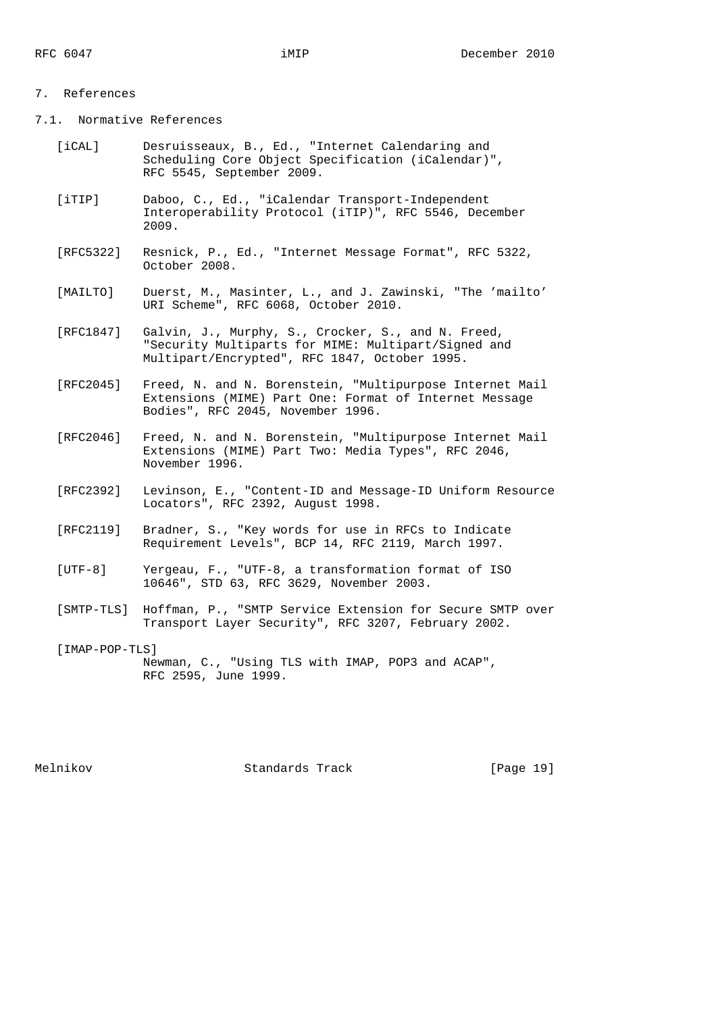# 7. References

7.1. Normative References

- [iCAL] Desruisseaux, B., Ed., "Internet Calendaring and Scheduling Core Object Specification (iCalendar)", RFC 5545, September 2009.
- [iTIP] Daboo, C., Ed., "iCalendar Transport-Independent Interoperability Protocol (iTIP)", RFC 5546, December 2009.
- [RFC5322] Resnick, P., Ed., "Internet Message Format", RFC 5322, October 2008.
- [MAILTO] Duerst, M., Masinter, L., and J. Zawinski, "The 'mailto' URI Scheme", RFC 6068, October 2010.
- [RFC1847] Galvin, J., Murphy, S., Crocker, S., and N. Freed, "Security Multiparts for MIME: Multipart/Signed and Multipart/Encrypted", RFC 1847, October 1995.
- [RFC2045] Freed, N. and N. Borenstein, "Multipurpose Internet Mail Extensions (MIME) Part One: Format of Internet Message Bodies", RFC 2045, November 1996.
	- [RFC2046] Freed, N. and N. Borenstein, "Multipurpose Internet Mail Extensions (MIME) Part Two: Media Types", RFC 2046, November 1996.
	- [RFC2392] Levinson, E., "Content-ID and Message-ID Uniform Resource Locators", RFC 2392, August 1998.
	- [RFC2119] Bradner, S., "Key words for use in RFCs to Indicate Requirement Levels", BCP 14, RFC 2119, March 1997.
	- [UTF-8] Yergeau, F., "UTF-8, a transformation format of ISO 10646", STD 63, RFC 3629, November 2003.
	- [SMTP-TLS] Hoffman, P., "SMTP Service Extension for Secure SMTP over Transport Layer Security", RFC 3207, February 2002.
	- [IMAP-POP-TLS] Newman, C., "Using TLS with IMAP, POP3 and ACAP", RFC 2595, June 1999.

Melnikov Standards Track [Page 19]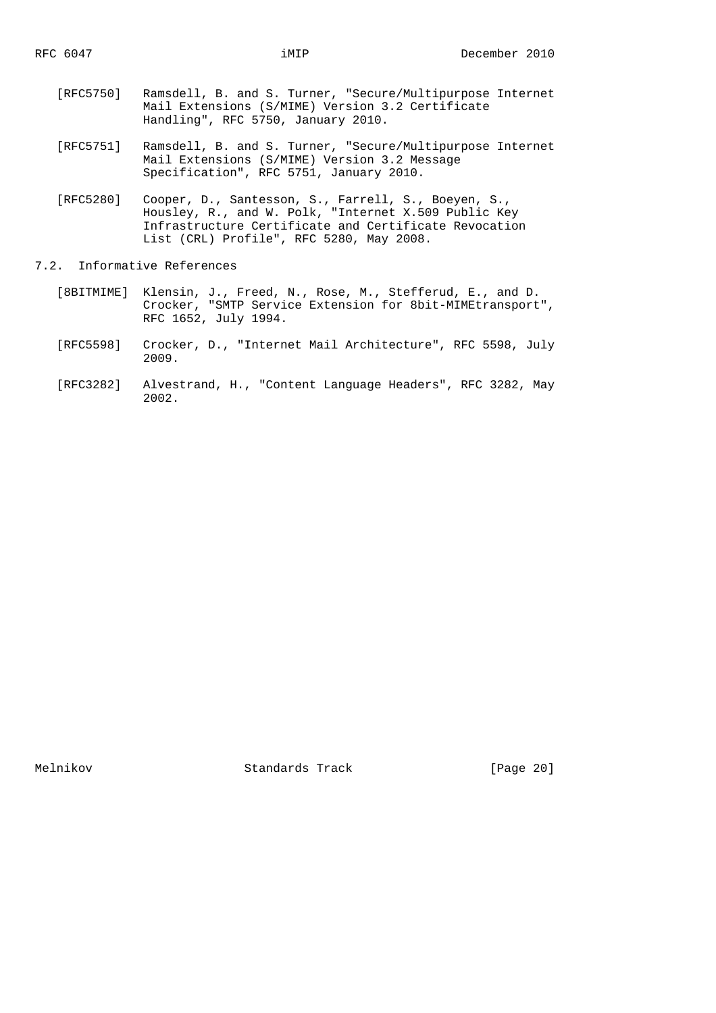- [RFC5750] Ramsdell, B. and S. Turner, "Secure/Multipurpose Internet Mail Extensions (S/MIME) Version 3.2 Certificate Handling", RFC 5750, January 2010.
- [RFC5751] Ramsdell, B. and S. Turner, "Secure/Multipurpose Internet Mail Extensions (S/MIME) Version 3.2 Message Specification", RFC 5751, January 2010.
- [RFC5280] Cooper, D., Santesson, S., Farrell, S., Boeyen, S., Housley, R., and W. Polk, "Internet X.509 Public Key Infrastructure Certificate and Certificate Revocation List (CRL) Profile", RFC 5280, May 2008.
- 7.2. Informative References
- [8BITMIME] Klensin, J., Freed, N., Rose, M., Stefferud, E., and D. Crocker, "SMTP Service Extension for 8bit-MIMEtransport", RFC 1652, July 1994.
	- [RFC5598] Crocker, D., "Internet Mail Architecture", RFC 5598, July 2009.
	- [RFC3282] Alvestrand, H., "Content Language Headers", RFC 3282, May 2002.

Melnikov Standards Track [Page 20]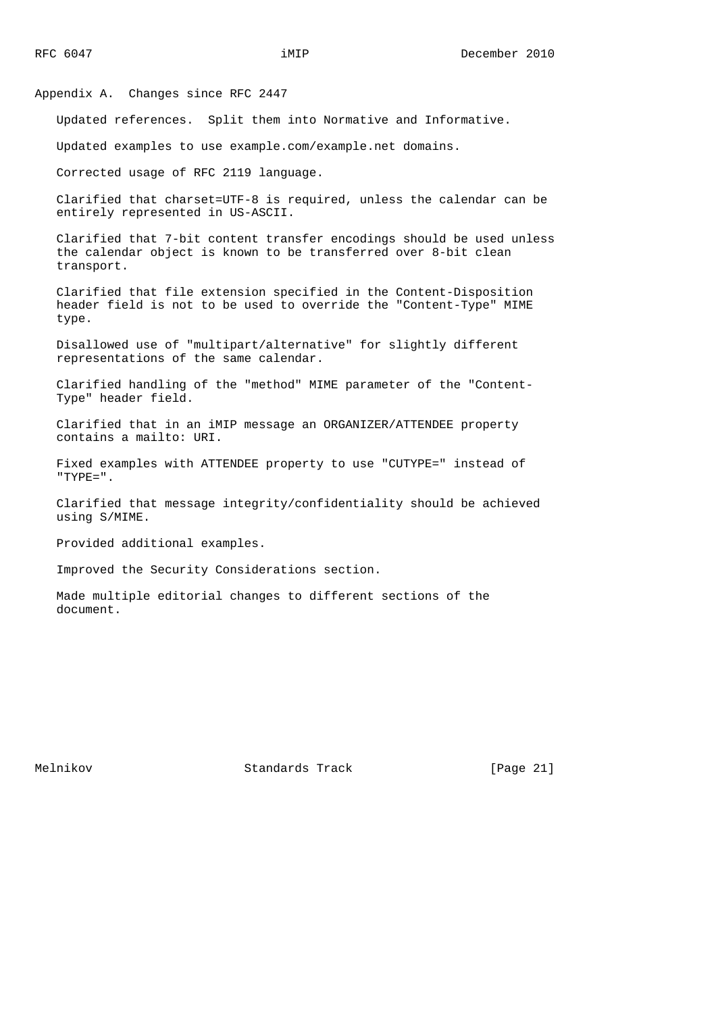Appendix A. Changes since RFC 2447

Updated references. Split them into Normative and Informative.

Updated examples to use example.com/example.net domains.

Corrected usage of RFC 2119 language.

 Clarified that charset=UTF-8 is required, unless the calendar can be entirely represented in US-ASCII.

 Clarified that 7-bit content transfer encodings should be used unless the calendar object is known to be transferred over 8-bit clean transport.

 Clarified that file extension specified in the Content-Disposition header field is not to be used to override the "Content-Type" MIME type.

 Disallowed use of "multipart/alternative" for slightly different representations of the same calendar.

 Clarified handling of the "method" MIME parameter of the "Content- Type" header field.

 Clarified that in an iMIP message an ORGANIZER/ATTENDEE property contains a mailto: URI.

 Fixed examples with ATTENDEE property to use "CUTYPE=" instead of  $"TYPE = "$ 

 Clarified that message integrity/confidentiality should be achieved using S/MIME.

Provided additional examples.

Improved the Security Considerations section.

 Made multiple editorial changes to different sections of the document.

Melnikov Standards Track [Page 21]